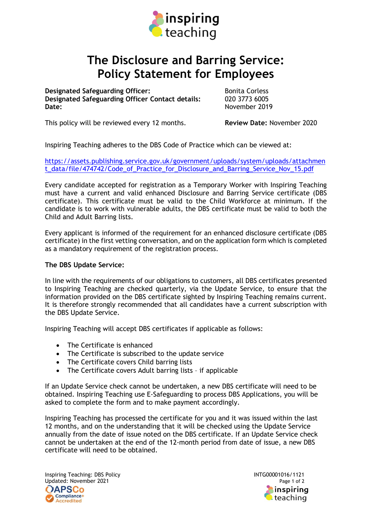

## The Disclosure and Barring Service: Policy Statement for Employees

**Designated Safeguarding Officer:** Bonita Corless Designated Safeguarding Officer Contact details: 020 3773 6005 Date: November 2019

This policy will be reviewed every 12 months. Review Date: November 2020

Inspiring Teaching adheres to the DBS Code of Practice which can be viewed at:

https://assets.publishing.service.gov.uk/government/uploads/system/uploads/attachmen t data/file/474742/Code of Practice for Disclosure and Barring Service Nov 15.pdf

Every candidate accepted for registration as a Temporary Worker with Inspiring Teaching must have a current and valid enhanced Disclosure and Barring Service certificate (DBS certificate). This certificate must be valid to the Child Workforce at minimum. If the candidate is to work with vulnerable adults, the DBS certificate must be valid to both the Child and Adult Barring lists.

Every applicant is informed of the requirement for an enhanced disclosure certificate (DBS certificate) in the first vetting conversation, and on the application form which is completed as a mandatory requirement of the registration process.

## The DBS Update Service:

In line with the requirements of our obligations to customers, all DBS certificates presented to Inspiring Teaching are checked quarterly, via the Update Service, to ensure that the information provided on the DBS certificate sighted by Inspiring Teaching remains current. It is therefore strongly recommended that all candidates have a current subscription with the DBS Update Service.

Inspiring Teaching will accept DBS certificates if applicable as follows:

- The Certificate is enhanced
- The Certificate is subscribed to the update service
- The Certificate covers Child barring lists
- The Certificate covers Adult barring lists if applicable

If an Update Service check cannot be undertaken, a new DBS certificate will need to be obtained. Inspiring Teaching use E-Safeguarding to process DBS Applications, you will be asked to complete the form and to make payment accordingly.

Inspiring Teaching has processed the certificate for you and it was issued within the last 12 months, and on the understanding that it will be checked using the Update Service annually from the date of issue noted on the DBS certificate. If an Update Service check cannot be undertaken at the end of the 12-month period from date of issue, a new DBS certificate will need to be obtained.

Inspiring Teaching: DBS Policy **INTG00001016/1121** Updated: November 2021 Page 1 of 2 **DAPSCo** Compliance+ **Accredited** 

inspirina teaching